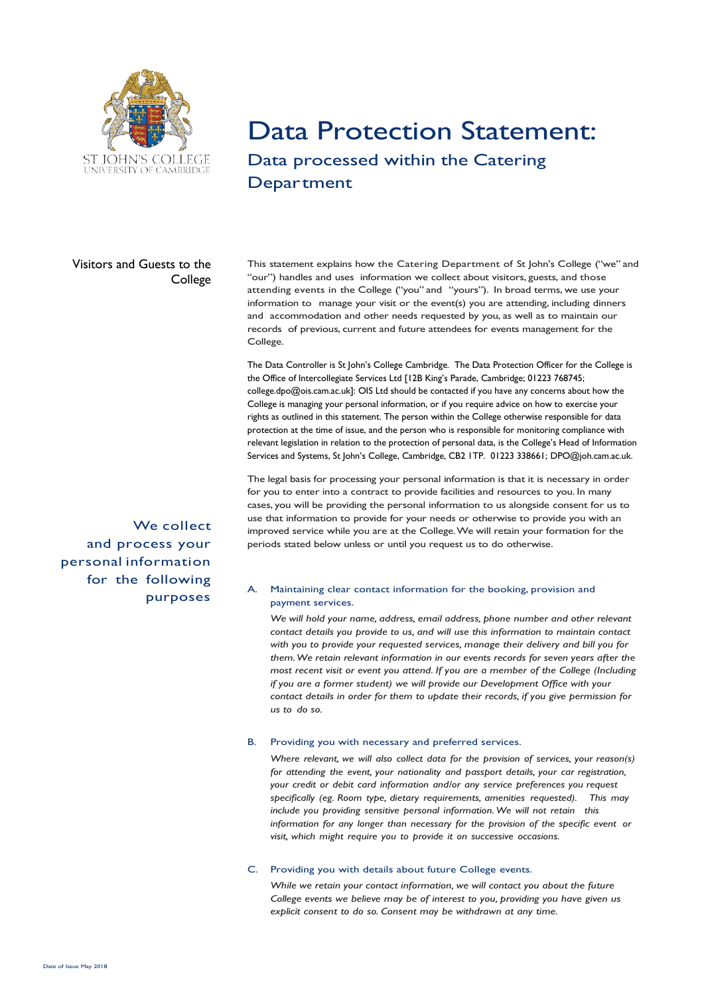

## Data Protection Statement: Data processed within the Catering

## **Department**

### Visitors and Guests to the College

This statement explains how the Catering Department of St John's College ("we" and "our") handles and uses information we collect about visitors, guests, and those attending events in the College ("you" and "yours"). In broad terms, we use your information to manage your visit or the event(s) you are attending, including dinners and accommodation and other needs requested by you, as well as to maintain our records of previous, current and future attendees for events management for the College.

The Data Controller is St John's College Cambridge. The Data Protection Officer for the College is the Office of Intercollegiate Services Ltd [12B King's Parade, Cambridge; 01223 768745; college.dpo@ois.cam.ac.uk]: OIS Ltd should be contacted if you have any concerns about how the College is managing your personal information, or if you require advice on how to exercise your rights as outlined in this statement. The person within the College otherwise responsible for data protection at the time of issue, and the person who is responsible for monitoring compliance with relevant legislation in relation to the protection of personal data, is the College's Head of Information Services and Systems, St John's College, Cambridge, CB2 1TP. 01223 338661; DPO@joh.cam.ac.uk.

The legal basis for processing your personal information is that it is necessary in order for you to enter into a contract to provide facilities and resources to you. In many cases, you will be providing the personal information to us alongside consent for us to use that information to provide for your needs or otherwise to provide you with an improved service while you are at the College.We will retain your formation for the periods stated below unless or until you request us to do otherwise.

#### A. Maintaining clear contact information for the booking, provision and payment services.

*We will hold your name, address, email address, phone number and other relevant contact details you provide to us, and will use this information to maintain contact with you to provide your requested services, manage their delivery and bill you for them.We retain relevant information in our events records for seven years after the most recent visit or event you attend. If you are a member of the College (Including if you are a former student) we will provide our Development Office with your contact details in order for them to update their records, if you give permission for us to do so.*

#### B. Providing you with necessary and preferred services.

*Where relevant, we will also collect data for the provision of services, your reason(s) for attending the event, your nationality and passport details, your car registration, your credit or debit card information and/or any service preferences you request specifically (eg. Room type, dietary requirements, amenities requested). This may include you providing sensitive personal information.We will not retain this information for any longer than necessary for the provision of the specific event or visit, which might require you to provide it on successive occasions.*

#### C. Providing you with details about future College events.

*While we retain your contact information, we will contact you about the future College events we believe may be of interest to you, providing you have given us explicit consent to do so. Consent may be withdrawn at any time.*

We collect and process your personal information for the following purposes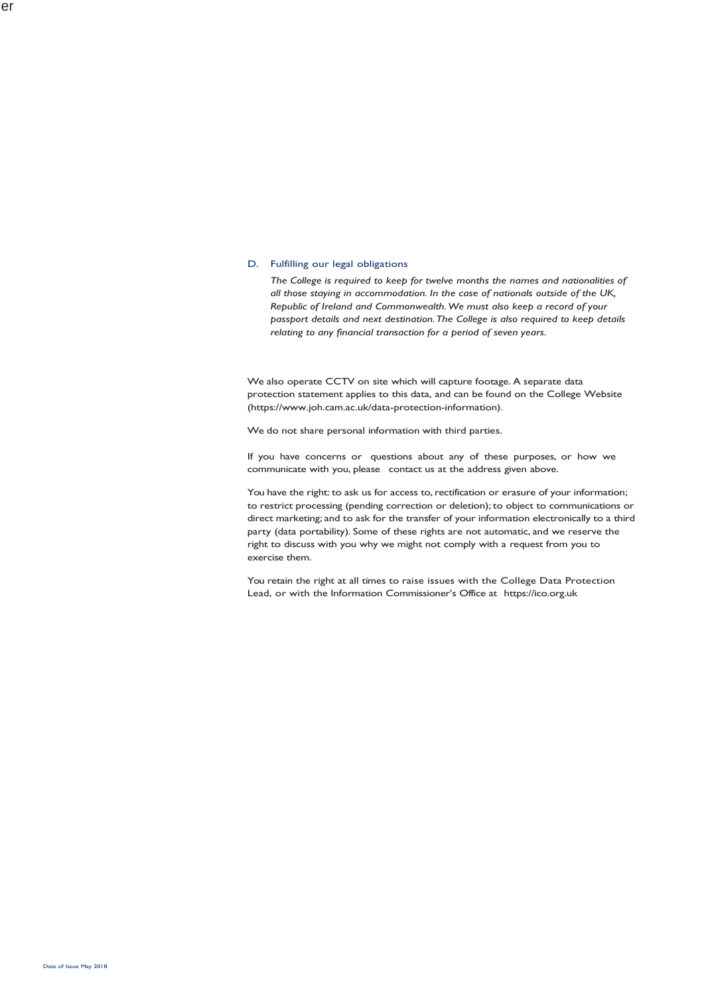#### D. Fulfilling our legal obligations

*The College is required to keep for twelve months the names and nationalities of all those staying in accommodation. In the case of nationals outside of the UK, Republic of Ireland and Commonwealth.We must also keep a record of your passport details and next destination.The College is also required to keep details relating to any financial transaction for a period of seven years.*

We also operate CCTV on site which will capture footage. A separate data protection statement applies to this data, and can be found on the College Website (https://www.joh.cam.ac.uk/data-protection-information).

We do not share personal information with third parties.

If you have concerns or questions about any of these purposes, or how we communicate with you, please contact us at the address given above.

You have the right: to ask us for access to, rectification or erasure of your information; to restrict processing (pending correction or deletion);to object to communications or direct marketing; and to ask for the transfer of your information electronically to a third party (data portability). Some of these rights are not automatic, and we reserve the right to discuss with you why we might not comply with a request from you to exercise them.

You retain the right at all times to raise issues with the College Data Protection Lead, or with the Information Commissioner's Office at https://ico.org.uk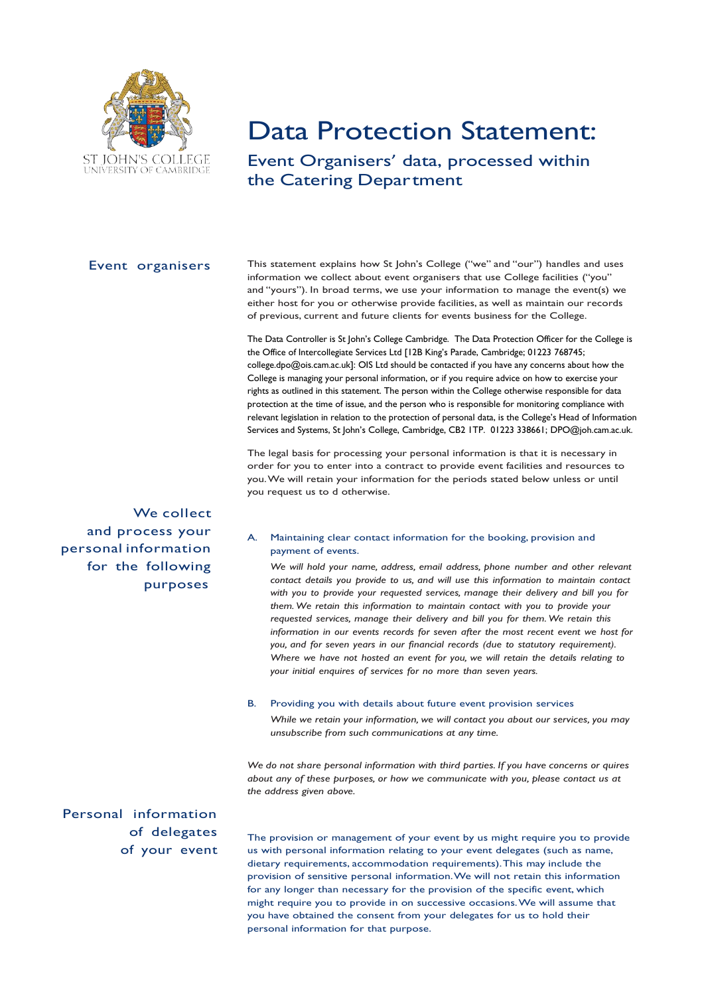

# Data Protection Statement:

Event Organisers' data, processed within the Catering Department

#### Event organisers

This statement explains how St John's College ("we" and "our") handles and uses information we collect about event organisers that use College facilities ("you" and "yours"). In broad terms, we use your information to manage the event(s) we either host for you or otherwise provide facilities, as well as maintain our records of previous, current and future clients for events business for the College.

The Data Controller is St John's College Cambridge. The Data Protection Officer for the College is the Office of Intercollegiate Services Ltd [12B King's Parade, Cambridge; 01223 768745; college.dpo@ois.cam.ac.uk]: OIS Ltd should be contacted if you have any concerns about how the College is managing your personal information, or if you require advice on how to exercise your rights as outlined in this statement. The person within the College otherwise responsible for data protection at the time of issue, and the person who is responsible for monitoring compliance with relevant legislation in relation to the protection of personal data, is the College's Head of Information Services and Systems, St John's College, Cambridge, CB2 1TP. 01223 338661; DPO@joh.cam.ac.uk.

The legal basis for processing your personal information is that it is necessary in order for you to enter into a contract to provide event facilities and resources to you.We will retain your information for the periods stated below unless or until you request us to d otherwise.

We collect and process your personal information for the following purposes

#### A. Maintaining clear contact information for the booking, provision and payment of events.

*We will hold your name, address, email address, phone number and other relevant contact details you provide to us, and will use this information to maintain contact with you to provide your requested services, manage their delivery and bill you for them.We retain this information to maintain contact with you to provide your requested services, manage their delivery and bill you for them.We retain this information in our events records for seven after the most recent event we host for you, and for seven years in our financial records (due to statutory requirement). Where we have not hosted an event for you, we will retain the details relating to your initial enquires of services for no more than seven years.*

#### B. Providing you with details about future event provision services

*While we retain your information, we will contact you about our services, you may unsubscribe from such communications at any time.*

*We do not share personal information with third parties. If you have concerns or quires about any of these purposes, or how we communicate with you, please contact us at the address given above.*

Personal information of delegates of your event

The provision or management of your event by us might require you to provide us with personal information relating to your event delegates (such as name, dietary requirements, accommodation requirements).This may include the provision of sensitive personal information.We will not retain this information for any longer than necessary for the provision of the specific event, which might require you to provide in on successive occasions.We will assume that you have obtained the consent from your delegates for us to hold their personal information for that purpose.